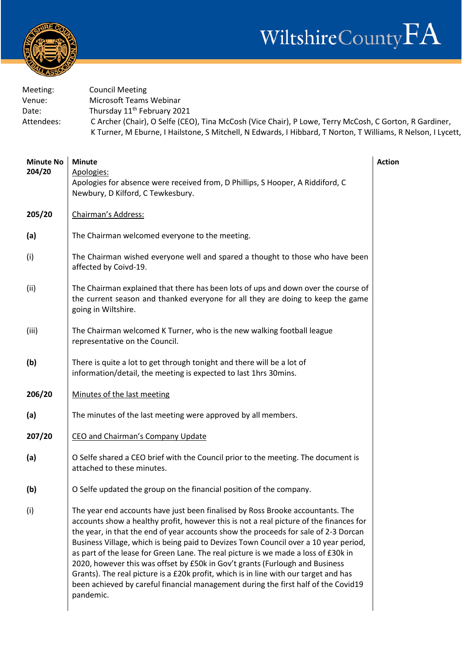

| Meeting:   | <b>Council Meeting</b>                                                                                       |
|------------|--------------------------------------------------------------------------------------------------------------|
| Venue:     | Microsoft Teams Webinar                                                                                      |
| Date:      | Thursday 11 <sup>th</sup> February 2021                                                                      |
| Attendees: | C Archer (Chair), O Selfe (CEO), Tina McCosh (Vice Chair), P Lowe, Terry McCosh, C Gorton, R Gardiner,       |
|            | K Turner, M Eburne, I Hailstone, S Mitchell, N Edwards, I Hibbard, T Norton, T Williams, R Nelson, I Lycett, |

| <b>Minute No</b><br>204/20 | <b>Minute</b><br>Apologies:<br>Apologies for absence were received from, D Phillips, S Hooper, A Riddiford, C<br>Newbury, D Kilford, C Tewkesbury.                                                                                                                                                                                                                                                                                                                                                                                                                                                                                                                                                                       | <b>Action</b> |
|----------------------------|--------------------------------------------------------------------------------------------------------------------------------------------------------------------------------------------------------------------------------------------------------------------------------------------------------------------------------------------------------------------------------------------------------------------------------------------------------------------------------------------------------------------------------------------------------------------------------------------------------------------------------------------------------------------------------------------------------------------------|---------------|
| 205/20                     | Chairman's Address:                                                                                                                                                                                                                                                                                                                                                                                                                                                                                                                                                                                                                                                                                                      |               |
| (a)                        | The Chairman welcomed everyone to the meeting.                                                                                                                                                                                                                                                                                                                                                                                                                                                                                                                                                                                                                                                                           |               |
| (i)                        | The Chairman wished everyone well and spared a thought to those who have been<br>affected by Coivd-19.                                                                                                                                                                                                                                                                                                                                                                                                                                                                                                                                                                                                                   |               |
| (ii)                       | The Chairman explained that there has been lots of ups and down over the course of<br>the current season and thanked everyone for all they are doing to keep the game<br>going in Wiltshire.                                                                                                                                                                                                                                                                                                                                                                                                                                                                                                                             |               |
| (iii)                      | The Chairman welcomed K Turner, who is the new walking football league<br>representative on the Council.                                                                                                                                                                                                                                                                                                                                                                                                                                                                                                                                                                                                                 |               |
| (b)                        | There is quite a lot to get through tonight and there will be a lot of<br>information/detail, the meeting is expected to last 1hrs 30mins.                                                                                                                                                                                                                                                                                                                                                                                                                                                                                                                                                                               |               |
| 206/20                     | Minutes of the last meeting                                                                                                                                                                                                                                                                                                                                                                                                                                                                                                                                                                                                                                                                                              |               |
| (a)                        | The minutes of the last meeting were approved by all members.                                                                                                                                                                                                                                                                                                                                                                                                                                                                                                                                                                                                                                                            |               |
| 207/20                     | CEO and Chairman's Company Update                                                                                                                                                                                                                                                                                                                                                                                                                                                                                                                                                                                                                                                                                        |               |
| (a)                        | O Selfe shared a CEO brief with the Council prior to the meeting. The document is<br>attached to these minutes.                                                                                                                                                                                                                                                                                                                                                                                                                                                                                                                                                                                                          |               |
| (b)                        | O Selfe updated the group on the financial position of the company.                                                                                                                                                                                                                                                                                                                                                                                                                                                                                                                                                                                                                                                      |               |
| (i)                        | The year end accounts have just been finalised by Ross Brooke accountants. The<br>accounts show a healthy profit, however this is not a real picture of the finances for<br>the year, in that the end of year accounts show the proceeds for sale of 2-3 Dorcan<br>Business Village, which is being paid to Devizes Town Council over a 10 year period,<br>as part of the lease for Green Lane. The real picture is we made a loss of £30k in<br>2020, however this was offset by £50k in Gov't grants (Furlough and Business<br>Grants). The real picture is a £20k profit, which is in line with our target and has<br>been achieved by careful financial management during the first half of the Covid19<br>pandemic. |               |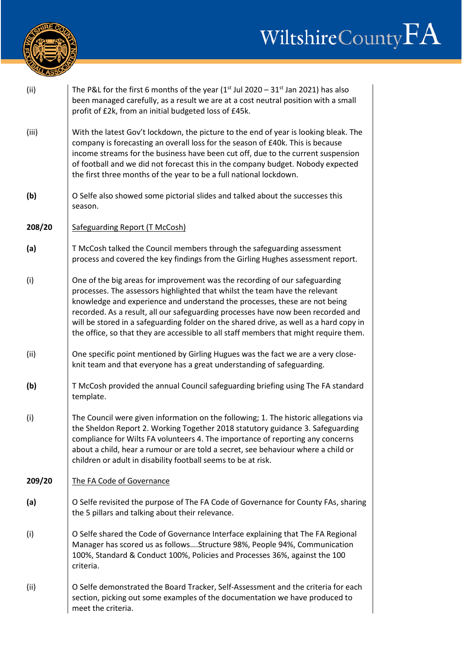## WiltshireCountyFA



| (ii)   | The P&L for the first 6 months of the year ( $1st$ Jul 2020 – 31 <sup>st</sup> Jan 2021) has also<br>been managed carefully, as a result we are at a cost neutral position with a small<br>profit of £2k, from an initial budgeted loss of £45k.                                                                                                                                                                                                                                                               |
|--------|----------------------------------------------------------------------------------------------------------------------------------------------------------------------------------------------------------------------------------------------------------------------------------------------------------------------------------------------------------------------------------------------------------------------------------------------------------------------------------------------------------------|
| (iii)  | With the latest Gov't lockdown, the picture to the end of year is looking bleak. The<br>company is forecasting an overall loss for the season of £40k. This is because<br>income streams for the business have been cut off, due to the current suspension<br>of football and we did not forecast this in the company budget. Nobody expected<br>the first three months of the year to be a full national lockdown.                                                                                            |
| (b)    | O Selfe also showed some pictorial slides and talked about the successes this<br>season.                                                                                                                                                                                                                                                                                                                                                                                                                       |
| 208/20 | Safeguarding Report (T McCosh)                                                                                                                                                                                                                                                                                                                                                                                                                                                                                 |
| (a)    | T McCosh talked the Council members through the safeguarding assessment<br>process and covered the key findings from the Girling Hughes assessment report.                                                                                                                                                                                                                                                                                                                                                     |
| (i)    | One of the big areas for improvement was the recording of our safeguarding<br>processes. The assessors highlighted that whilst the team have the relevant<br>knowledge and experience and understand the processes, these are not being<br>recorded. As a result, all our safeguarding processes have now been recorded and<br>will be stored in a safeguarding folder on the shared drive, as well as a hard copy in<br>the office, so that they are accessible to all staff members that might require them. |
| (ii)   | One specific point mentioned by Girling Hugues was the fact we are a very close-<br>knit team and that everyone has a great understanding of safeguarding.                                                                                                                                                                                                                                                                                                                                                     |
| (b)    | T McCosh provided the annual Council safeguarding briefing using The FA standard<br>template.                                                                                                                                                                                                                                                                                                                                                                                                                  |
| (i)    | The Council were given information on the following; 1. The historic allegations via<br>the Sheldon Report 2. Working Together 2018 statutory guidance 3. Safeguarding<br>compliance for Wilts FA volunteers 4. The importance of reporting any concerns<br>about a child, hear a rumour or are told a secret, see behaviour where a child or<br>children or adult in disability football seems to be at risk.                                                                                                 |
| 209/20 | The FA Code of Governance                                                                                                                                                                                                                                                                                                                                                                                                                                                                                      |
| (a)    | O Selfe revisited the purpose of The FA Code of Governance for County FAs, sharing<br>the 5 pillars and talking about their relevance.                                                                                                                                                                                                                                                                                                                                                                         |
| (i)    | O Selfe shared the Code of Governance Interface explaining that The FA Regional<br>Manager has scored us as followsStructure 98%, People 94%, Communication<br>100%, Standard & Conduct 100%, Policies and Processes 36%, against the 100<br>criteria.                                                                                                                                                                                                                                                         |
| (ii)   | O Selfe demonstrated the Board Tracker, Self-Assessment and the criteria for each<br>section, picking out some examples of the documentation we have produced to<br>meet the criteria.                                                                                                                                                                                                                                                                                                                         |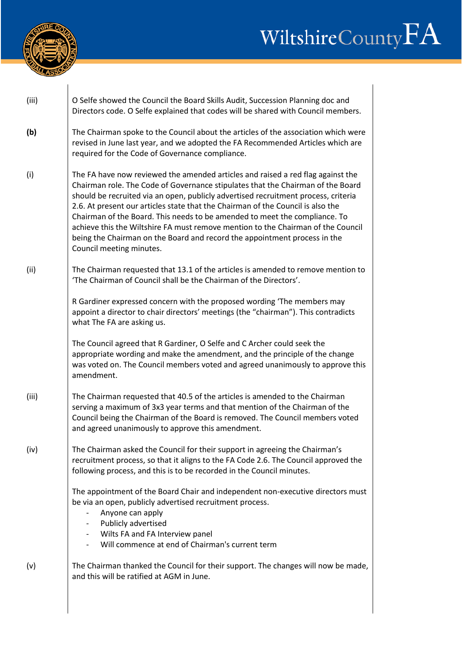



| (iii) | O Selfe showed the Council the Board Skills Audit, Succession Planning doc and<br>Directors code. O Selfe explained that codes will be shared with Council members.                                                                                                                                                                                                                                                                                                                                                                                                                                                    |
|-------|------------------------------------------------------------------------------------------------------------------------------------------------------------------------------------------------------------------------------------------------------------------------------------------------------------------------------------------------------------------------------------------------------------------------------------------------------------------------------------------------------------------------------------------------------------------------------------------------------------------------|
| (b)   | The Chairman spoke to the Council about the articles of the association which were<br>revised in June last year, and we adopted the FA Recommended Articles which are<br>required for the Code of Governance compliance.                                                                                                                                                                                                                                                                                                                                                                                               |
| (i)   | The FA have now reviewed the amended articles and raised a red flag against the<br>Chairman role. The Code of Governance stipulates that the Chairman of the Board<br>should be recruited via an open, publicly advertised recruitment process, criteria<br>2.6. At present our articles state that the Chairman of the Council is also the<br>Chairman of the Board. This needs to be amended to meet the compliance. To<br>achieve this the Wiltshire FA must remove mention to the Chairman of the Council<br>being the Chairman on the Board and record the appointment process in the<br>Council meeting minutes. |
| (ii)  | The Chairman requested that 13.1 of the articles is amended to remove mention to<br>'The Chairman of Council shall be the Chairman of the Directors'.                                                                                                                                                                                                                                                                                                                                                                                                                                                                  |
|       | R Gardiner expressed concern with the proposed wording 'The members may<br>appoint a director to chair directors' meetings (the "chairman"). This contradicts<br>what The FA are asking us.                                                                                                                                                                                                                                                                                                                                                                                                                            |
|       | The Council agreed that R Gardiner, O Selfe and C Archer could seek the<br>appropriate wording and make the amendment, and the principle of the change<br>was voted on. The Council members voted and agreed unanimously to approve this<br>amendment.                                                                                                                                                                                                                                                                                                                                                                 |
| (iii) | The Chairman requested that 40.5 of the articles is amended to the Chairman<br>serving a maximum of 3x3 year terms and that mention of the Chairman of the<br>Council being the Chairman of the Board is removed. The Council members voted<br>and agreed unanimously to approve this amendment.                                                                                                                                                                                                                                                                                                                       |
| (iv)  | The Chairman asked the Council for their support in agreeing the Chairman's<br>recruitment process, so that it aligns to the FA Code 2.6. The Council approved the<br>following process, and this is to be recorded in the Council minutes.                                                                                                                                                                                                                                                                                                                                                                            |
|       | The appointment of the Board Chair and independent non-executive directors must<br>be via an open, publicly advertised recruitment process.<br>Anyone can apply<br>Publicly advertised<br>Wilts FA and FA Interview panel<br>Will commence at end of Chairman's current term                                                                                                                                                                                                                                                                                                                                           |
| (v)   | The Chairman thanked the Council for their support. The changes will now be made,<br>and this will be ratified at AGM in June.                                                                                                                                                                                                                                                                                                                                                                                                                                                                                         |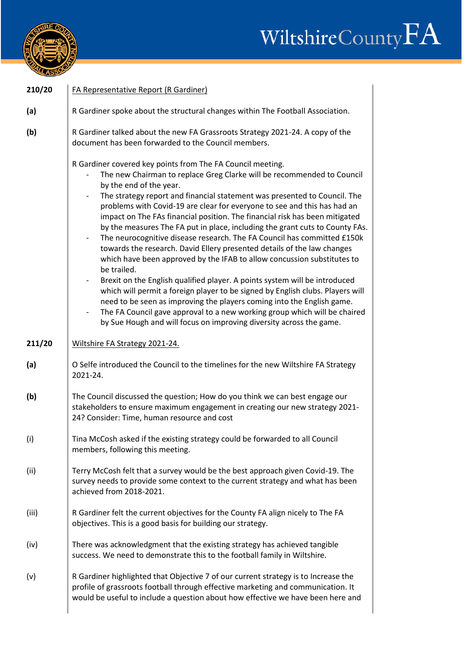

## WiltshireCountyFA

| 210/20 | <b>FA Representative Report (R Gardiner)</b>                                                                                                                                                                                                                                                                                                                                                                                                                                                                                                                                                                                                                                                                                                                                                                                                                                                                                                                                                                                                                                                                                                                        |
|--------|---------------------------------------------------------------------------------------------------------------------------------------------------------------------------------------------------------------------------------------------------------------------------------------------------------------------------------------------------------------------------------------------------------------------------------------------------------------------------------------------------------------------------------------------------------------------------------------------------------------------------------------------------------------------------------------------------------------------------------------------------------------------------------------------------------------------------------------------------------------------------------------------------------------------------------------------------------------------------------------------------------------------------------------------------------------------------------------------------------------------------------------------------------------------|
| (a)    | R Gardiner spoke about the structural changes within The Football Association.                                                                                                                                                                                                                                                                                                                                                                                                                                                                                                                                                                                                                                                                                                                                                                                                                                                                                                                                                                                                                                                                                      |
| (b)    | R Gardiner talked about the new FA Grassroots Strategy 2021-24. A copy of the<br>document has been forwarded to the Council members.                                                                                                                                                                                                                                                                                                                                                                                                                                                                                                                                                                                                                                                                                                                                                                                                                                                                                                                                                                                                                                |
|        | R Gardiner covered key points from The FA Council meeting.<br>The new Chairman to replace Greg Clarke will be recommended to Council<br>by the end of the year.<br>The strategy report and financial statement was presented to Council. The<br>$\sim$<br>problems with Covid-19 are clear for everyone to see and this has had an<br>impact on The FAs financial position. The financial risk has been mitigated<br>by the measures The FA put in place, including the grant cuts to County FAs.<br>The neurocognitive disease research. The FA Council has committed £150k<br>$\sim$<br>towards the research. David Ellery presented details of the law changes<br>which have been approved by the IFAB to allow concussion substitutes to<br>be trailed.<br>Brexit on the English qualified player. A points system will be introduced<br>$\sim$<br>which will permit a foreign player to be signed by English clubs. Players will<br>need to be seen as improving the players coming into the English game.<br>The FA Council gave approval to a new working group which will be chaired<br>by Sue Hough and will focus on improving diversity across the game. |
| 211/20 | Wiltshire FA Strategy 2021-24.                                                                                                                                                                                                                                                                                                                                                                                                                                                                                                                                                                                                                                                                                                                                                                                                                                                                                                                                                                                                                                                                                                                                      |
| (a)    | O Selfe introduced the Council to the timelines for the new Wiltshire FA Strategy<br>2021-24.                                                                                                                                                                                                                                                                                                                                                                                                                                                                                                                                                                                                                                                                                                                                                                                                                                                                                                                                                                                                                                                                       |
| (b)    | The Council discussed the question; How do you think we can best engage our<br>stakeholders to ensure maximum engagement in creating our new strategy 2021-<br>24? Consider: Time, human resource and cost                                                                                                                                                                                                                                                                                                                                                                                                                                                                                                                                                                                                                                                                                                                                                                                                                                                                                                                                                          |
| (i)    | Tina McCosh asked if the existing strategy could be forwarded to all Council<br>members, following this meeting.                                                                                                                                                                                                                                                                                                                                                                                                                                                                                                                                                                                                                                                                                                                                                                                                                                                                                                                                                                                                                                                    |
| (ii)   | Terry McCosh felt that a survey would be the best approach given Covid-19. The<br>survey needs to provide some context to the current strategy and what has been<br>achieved from 2018-2021.                                                                                                                                                                                                                                                                                                                                                                                                                                                                                                                                                                                                                                                                                                                                                                                                                                                                                                                                                                        |
| (iii)  | R Gardiner felt the current objectives for the County FA align nicely to The FA<br>objectives. This is a good basis for building our strategy.                                                                                                                                                                                                                                                                                                                                                                                                                                                                                                                                                                                                                                                                                                                                                                                                                                                                                                                                                                                                                      |
| (iv)   | There was acknowledgment that the existing strategy has achieved tangible<br>success. We need to demonstrate this to the football family in Wiltshire.                                                                                                                                                                                                                                                                                                                                                                                                                                                                                                                                                                                                                                                                                                                                                                                                                                                                                                                                                                                                              |
| (v)    | R Gardiner highlighted that Objective 7 of our current strategy is to Increase the<br>profile of grassroots football through effective marketing and communication. It<br>would be useful to include a question about how effective we have been here and                                                                                                                                                                                                                                                                                                                                                                                                                                                                                                                                                                                                                                                                                                                                                                                                                                                                                                           |